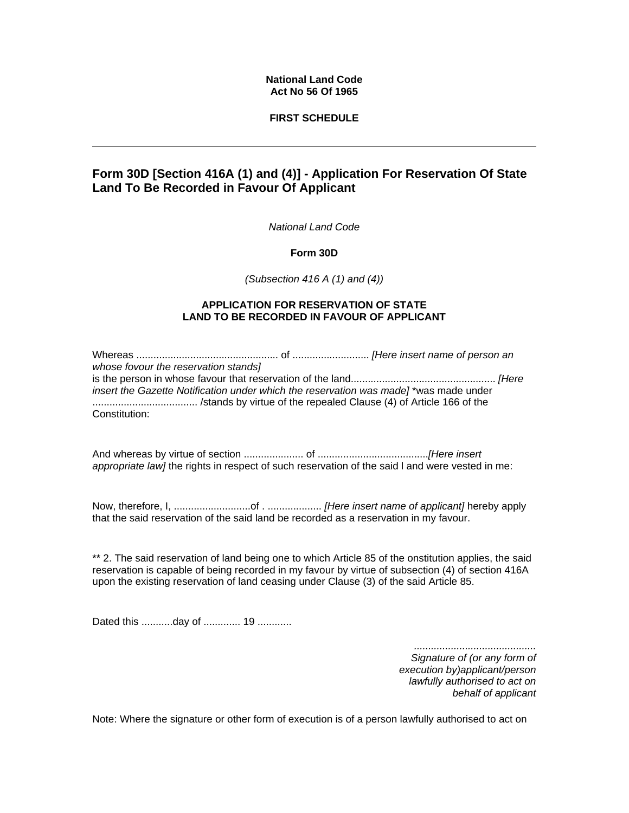## **National Land Code Act No 56 Of 1965**

## **FIRST SCHEDULE**

# **Form 30D [Section 416A (1) and (4)] - Application For Reservation Of State Land To Be Recorded in Favour Of Applicant**

*National Land Code* 

**Form 30D** 

*(Subsection 416 A (1) and (4))*

## **APPLICATION FOR RESERVATION OF STATE LAND TO BE RECORDED IN FAVOUR OF APPLICANT**

Whereas .................................................. of ........................... *[Here insert name of person an whose fovour the reservation stands]* is the person in whose favour that reservation of the land................................................... *[Here insert the Gazette Notification under which the reservation was made]* \*was made under ..................................... /stands by virtue of the repealed Clause (4) of Article 166 of the Constitution:

And whereas by virtue of section ..................... of .......................................*[Here insert appropriate law]* the rights in respect of such reservation of the said l and were vested in me:

Now, therefore, I, ...........................of . ................... *[Here insert name of applicant]* hereby apply that the said reservation of the said land be recorded as a reservation in my favour.

\*\* 2. The said reservation of land being one to which Article 85 of the onstitution applies, the said reservation is capable of being recorded in my favour by virtue of subsection (4) of section 416A upon the existing reservation of land ceasing under Clause (3) of the said Article 85.

Dated this ...........day of .............. 19 .............

*........................................... Signature of (or any form of execution by)applicant/person lawfully authorised to act on behalf of applicant* 

Note: Where the signature or other form of execution is of a person lawfully authorised to act on